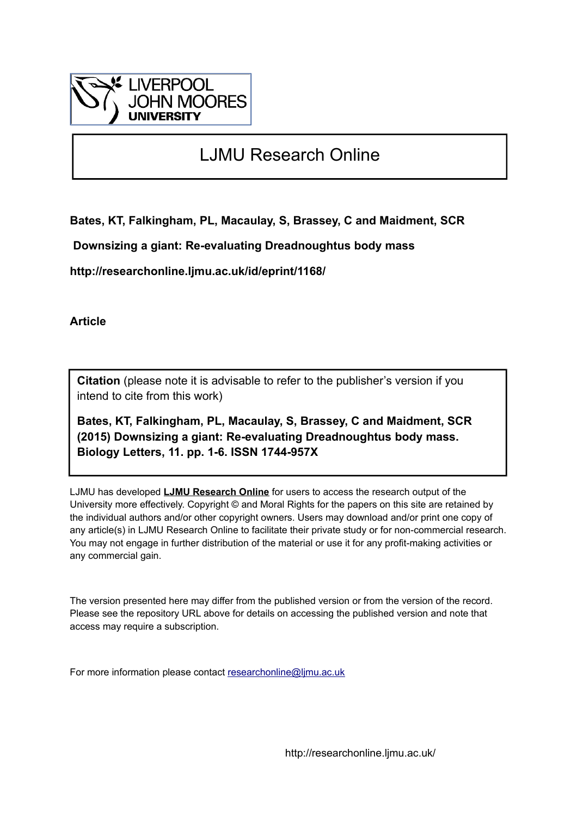

# LJMU Research Online

**Bates, KT, Falkingham, PL, Macaulay, S, Brassey, C and Maidment, SCR**

 **Downsizing a giant: Re-evaluating Dreadnoughtus body mass**

**http://researchonline.ljmu.ac.uk/id/eprint/1168/**

**Article**

**Citation** (please note it is advisable to refer to the publisher's version if you intend to cite from this work)

**Bates, KT, Falkingham, PL, Macaulay, S, Brassey, C and Maidment, SCR (2015) Downsizing a giant: Re-evaluating Dreadnoughtus body mass. Biology Letters, 11. pp. 1-6. ISSN 1744-957X** 

LJMU has developed **[LJMU Research Online](http://researchonline.ljmu.ac.uk/)** for users to access the research output of the University more effectively. Copyright © and Moral Rights for the papers on this site are retained by the individual authors and/or other copyright owners. Users may download and/or print one copy of any article(s) in LJMU Research Online to facilitate their private study or for non-commercial research. You may not engage in further distribution of the material or use it for any profit-making activities or any commercial gain.

The version presented here may differ from the published version or from the version of the record. Please see the repository URL above for details on accessing the published version and note that access may require a subscription.

For more information please contact [researchonline@ljmu.ac.uk](mailto:researchonline@ljmu.ac.uk)

http://researchonline.ljmu.ac.uk/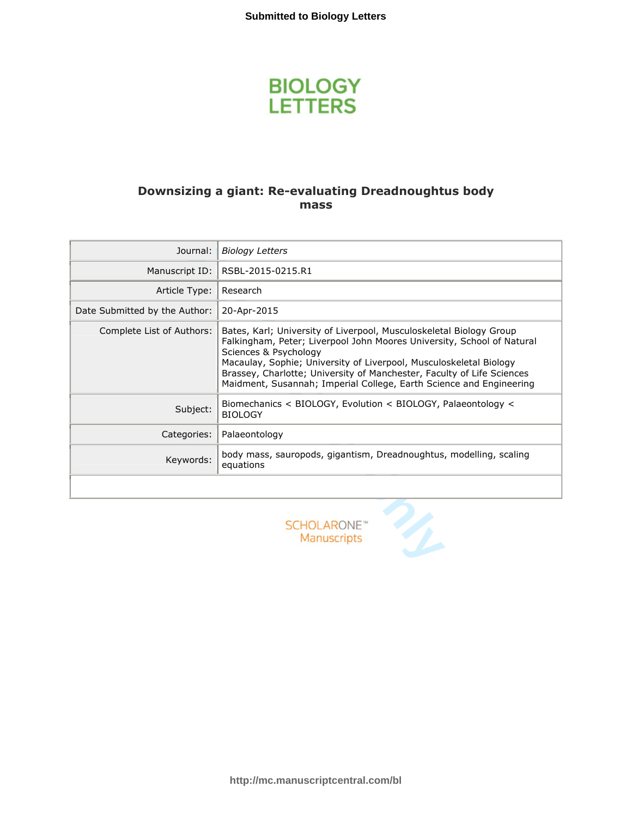

## **Downsizing a giant: Re -evaluating Dreadnoughtus body mass**

| Journal:                      | <b>Biology Letters</b>                                                                                                                                                                                                                                                                                                                                                                        |
|-------------------------------|-----------------------------------------------------------------------------------------------------------------------------------------------------------------------------------------------------------------------------------------------------------------------------------------------------------------------------------------------------------------------------------------------|
| Manuscript ID:                | RSBL-2015-0215.R1                                                                                                                                                                                                                                                                                                                                                                             |
| Article Type:                 | Research                                                                                                                                                                                                                                                                                                                                                                                      |
| Date Submitted by the Author: | 20-Apr-2015                                                                                                                                                                                                                                                                                                                                                                                   |
| Complete List of Authors:     | Bates, Karl; University of Liverpool, Musculoskeletal Biology Group<br>Falkingham, Peter; Liverpool John Moores University, School of Natural<br>Sciences & Psychology<br>Macaulay, Sophie; University of Liverpool, Musculoskeletal Biology<br>Brassey, Charlotte; University of Manchester, Faculty of Life Sciences<br>Maidment, Susannah; Imperial College, Earth Science and Engineering |
| Subject:                      | Biomechanics $\lt$ BIOLOGY, Evolution $\lt$ BIOLOGY, Palaeontology $\lt$<br><b>BIOLOGY</b>                                                                                                                                                                                                                                                                                                    |
| Categories:                   | Palaeontology                                                                                                                                                                                                                                                                                                                                                                                 |
| Keywords:                     | body mass, sauropods, gigantism, Dreadnoughtus, modelling, scaling<br>equations                                                                                                                                                                                                                                                                                                               |
|                               |                                                                                                                                                                                                                                                                                                                                                                                               |
|                               | SCHOLARONE <sup>®</sup><br><b>Manuscripts</b>                                                                                                                                                                                                                                                                                                                                                 |

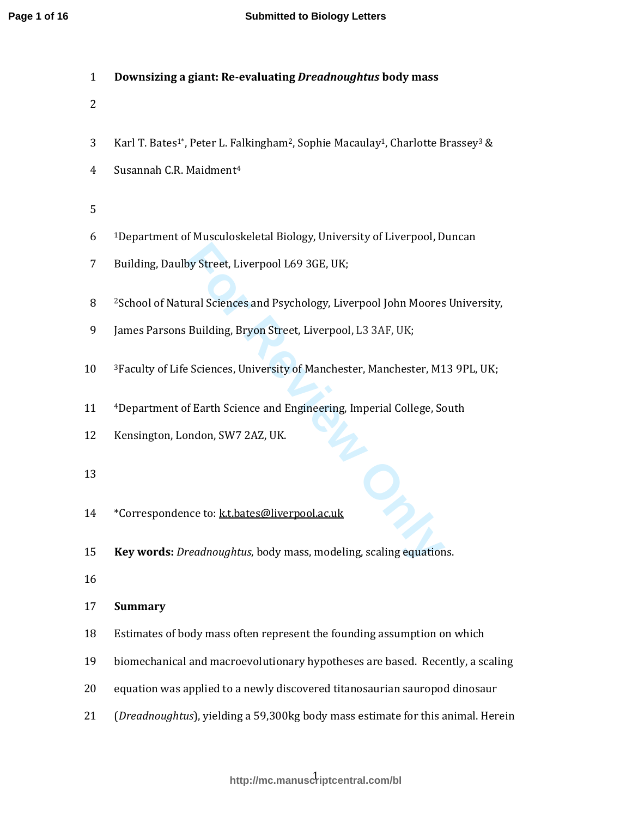|  |  | Downsizing a giant: Re-evaluating <i>Dreadnoughtus</i> body mass |  |
|--|--|------------------------------------------------------------------|--|
|--|--|------------------------------------------------------------------|--|

- 2
- 3 Karl T. Bates<sup>1\*</sup>, Peter L. Falkingham<sup>2</sup>, Sophie Macaulay<sup>1</sup>, Charlotte Brassey<sup>3</sup> &
- 4 Susannah C.R. Maidment<sup>4</sup>
- 5
- 6 <sup>1</sup>Department of Musculoskeletal Biology, University of Liverpool, Duncan
- 7 Building, Daulby Street, Liverpool L69 3GE, UK;
- 8 <sup>2</sup> 2 School of Natural Sciences and Psychology, Liverpool John Moores University,
- 9 James Parsons Building, Bryon Street, Liverpool, L3 3AF, UK;
- 10 <sup>3</sup>Faculty of Life Sciences, University of Manchester, Manchester, M13 9PL, UK;
- 11 <sup>4</sup>Department of Earth Science and Engineering, Imperial College, South
- 12 Kensington, London, SW7 2AZ, UK.
- 13
- 14 \*Correspondence to: ktbates@liverpool.ac.uk
- **For Review Only** 15 **Key words:** *Dreadnoughtus*, body mass, modeling, scaling equations.
- 16

### 17 **Summary**

- 18 Estimates of body mass often represent the founding assumption on which
- 19 biomechanical and macroevolutionary hypotheses are based. Recently, a scaling
- 20 equation was applied to a newly discovered titanosaurian sauropod dinosaur
- 21 (*Dreadnoughtus*), yielding a 59,300kg body mass estimate for this animal. Herein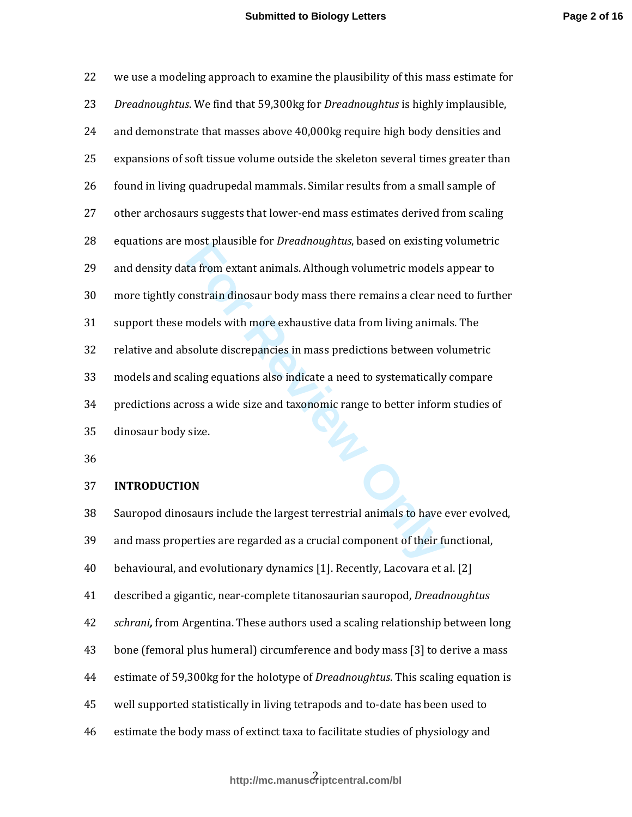| 22           | we use a modeling approach to examine the plausibility of this mass estimate for                     |
|--------------|------------------------------------------------------------------------------------------------------|
| 23           | Dreadnoughtus. We find that 59,300kg for Dreadnoughtus is highly implausible,                        |
| 24           | and demonstrate that masses above 40,000kg require high body densities and                           |
| 25           | expansions of soft tissue volume outside the skeleton several times greater than                     |
| 26           | found in living quadrupedal mammals. Similar results from a small sample of                          |
| 27           | other archosaurs suggests that lower-end mass estimates derived from scaling                         |
| 28           | equations are most plausible for Dreadnoughtus, based on existing volumetric                         |
| 29           | and density data from extant animals. Although volumetric models appear to                           |
| 30           | more tightly constrain dinosaur body mass there remains a clear need to further                      |
| 31           | support these models with more exhaustive data from living animals. The                              |
| 32           | relative and absolute discrepancies in mass predictions between volumetric                           |
| 33           | models and scaling equations also indicate a need to systematically compare                          |
| 34           | predictions across a wide size and taxonomic range to better inform studies of                       |
| 35           | dinosaur body size.                                                                                  |
| 36           |                                                                                                      |
| 37           | <b>INTRODUCTION</b>                                                                                  |
| 38           | Sauropod dinosaurs include the largest terrestrial animals to have ever evolved,                     |
| 39           | and mass properties are regarded as a crucial component of their functional,                         |
| $40^{\circ}$ | Let Le to recycle I yledge Late and the body and the level of the letter that the letter should be a |

#### 37 **INTRODUCTION**

38 Sauropod dinosaurs include the largest terrestrial animals to have ever evolved, 39 and mass properties are regarded as a crucial component of their functional, 40 behavioural, and evolutionary dynamics [1]. Recently, Lacovara et al. [2] 41 described a gigantic, near-complete titanosaurian sauropod, *Dreadnoughtus* 42 *schrani,* from Argentina. These authors used a scaling relationship between long 43 bone (femoral plus humeral) circumference and body mass [3] to derive a mass 44 estimate of 59,300kg for the holotype of *Dreadnoughtus*. This scaling equation is 45 well supported statistically in living tetrapods and to-date has been used to 46 estimate the body mass of extinct taxa to facilitate studies of physiology and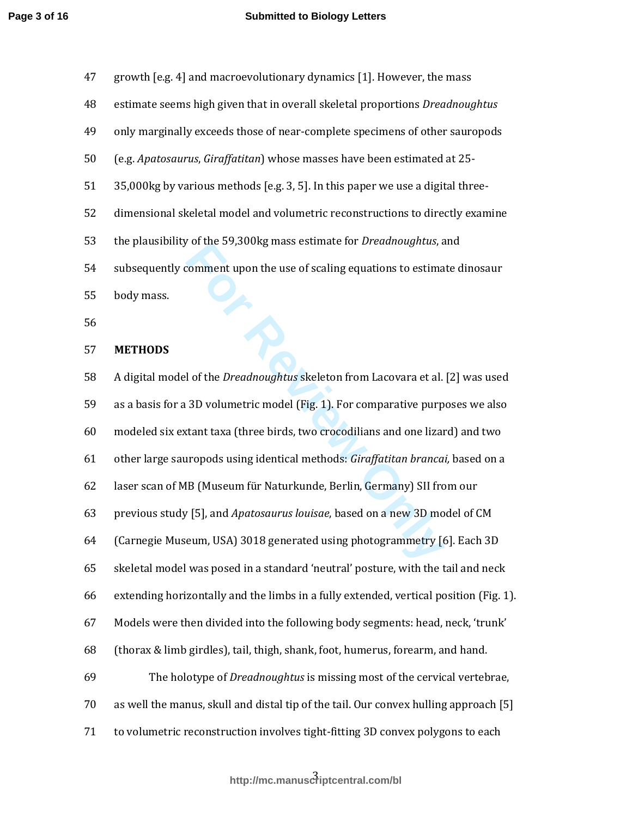| 47 | growth [e.g. 4] and macroevolutionary dynamics [1]. However, the mass               |
|----|-------------------------------------------------------------------------------------|
| 48 | estimate seems high given that in overall skeletal proportions <i>Dreadnoughtus</i> |
| 49 | only marginally exceeds those of near-complete specimens of other sauropods         |
| 50 | (e.g. <i>Apatosaurus, Giraffatitan</i> ) whose masses have been estimated at 25-    |
| 51 | 35,000kg by various methods [e.g. 3, 5]. In this paper we use a digital three-      |
| 52 | dimensional skeletal model and volumetric reconstructions to directly examine       |
| 53 | the plausibility of the 59,300kg mass estimate for <i>Dreadnoughtus</i> , and       |
| 54 | subsequently comment upon the use of scaling equations to estimate dinosaur         |
| 55 | body mass.                                                                          |
| 56 |                                                                                     |

#### 57 **METHODS**

For the 35,500Kg mass estimate for *Dretainoughtus*, a<br> **Formal transformal transformal example is also determined by the** *Dreadnoughtus* **skeleton from Lacovara et al.<br>
<b>For Review Only also determines the Constant taxa (t** 58 A digital model of the *Dreadnoughtus* skeleton from Lacovara et al. [2] was used 59 as a basis for a 3D volumetric model (Fig. 1). For comparative purposes we also 60 modeled six extant taxa (three birds, two crocodilians and one lizard) and two 61 other large sauropods using identical methods: *Giraffatitan brancai,* based on a 62 laser scan of MB (Museum für Naturkunde, Berlin, Germany) SII from our 63 previous study [5], and *Apatosaurus louisae*, based on a new 3D model of CM 64 (Carnegie Museum, USA) 3018 generated using photogrammetry [6]. Each 3D 65 skeletal model was posed in a standard 'neutral' posture, with the tail and neck 66 extending horizontally and the limbs in a fully extended, vertical position (Fig. 1). 67 Models were then divided into the following body segments: head, neck, 'trunk' 68 (thorax & limb girdles), tail, thigh, shank, foot, humerus, forearm, and hand. 69 The holotype of *Dreadnoughtus* is missing most of the cervical vertebrae, 70 as well the manus, skull and distal tip of the tail. Our convex hulling approach [5] 71 to volumetric reconstruction involves tight-fitting 3D convex polygons to each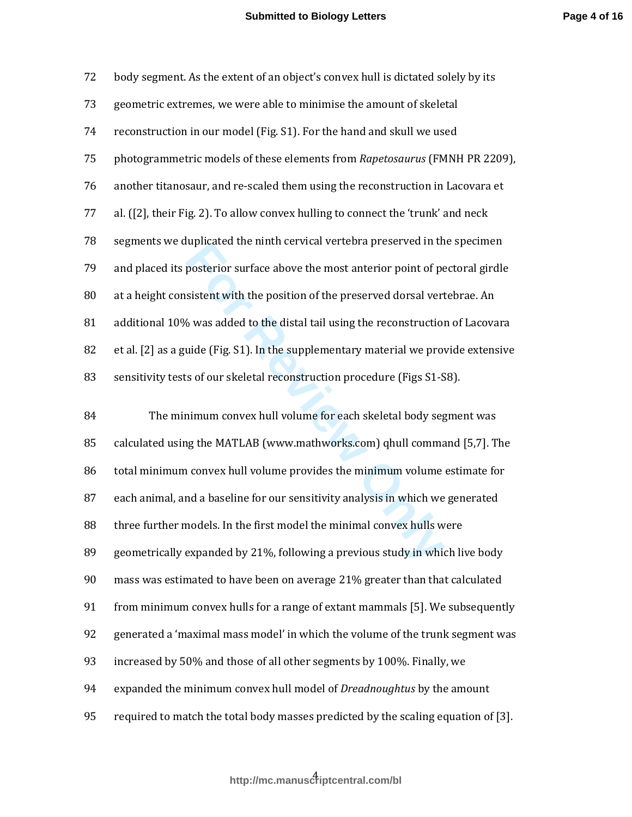| 72 | body segment. As the extent of an object's convex hull is dictated solely by its    |
|----|-------------------------------------------------------------------------------------|
| 73 | geometric extremes, we were able to minimise the amount of skeletal                 |
| 74 | reconstruction in our model (Fig. S1). For the hand and skull we used               |
| 75 | photogrammetric models of these elements from Rapetosaurus (FMNH PR 2209),          |
| 76 | another titanosaur, and re-scaled them using the reconstruction in Lacovara et      |
| 77 | al. $[2]$ , their Fig. 2). To allow convex hulling to connect the 'trunk' and neck  |
| 78 | segments we duplicated the ninth cervical vertebra preserved in the specimen        |
| 79 | and placed its posterior surface above the most anterior point of pectoral girdle   |
| 80 | at a height consistent with the position of the preserved dorsal vertebrae. An      |
| 81 | additional 10% was added to the distal tail using the reconstruction of Lacovara    |
| 82 | et al. [2] as a guide (Fig. S1). In the supplementary material we provide extensive |
| 83 | sensitivity tests of our skeletal reconstruction procedure (Figs S1-S8).            |
|    |                                                                                     |

reprised the minit tervical verticula preserved in the<br>posterior surface above the most anterior point of pe<br>sistent with the position of the preserved dorsal vert<br>6 was added to the distal tail using the reconstruction<br>ui 84 The minimum convex hull volume for each skeletal body segment was 85 calculated using the MATLAB (www.mathworks.com) qhull command [5,7]. The 86 total minimum convex hull volume provides the minimum volume estimate for 87 each animal, and a baseline for our sensitivity analysis in which we generated 88 three further models. In the first model the minimal convex hulls were 89 geometrically expanded by 21%, following a previous study in which live body 90 mass was estimated to have been on average 21% greater than that calculated 91 from minimum convex hulls for a range of extant mammals [5]. We subsequently 92 generated a 'maximal mass model' in which the volume of the trunk segment was 93 increased by 50% and those of all other segments by 100%. Finally, we 94 expanded the minimum convex hull model of *Dreadnoughtus* by the amount 95 required to match the total body masses predicted by the scaling equation of [3].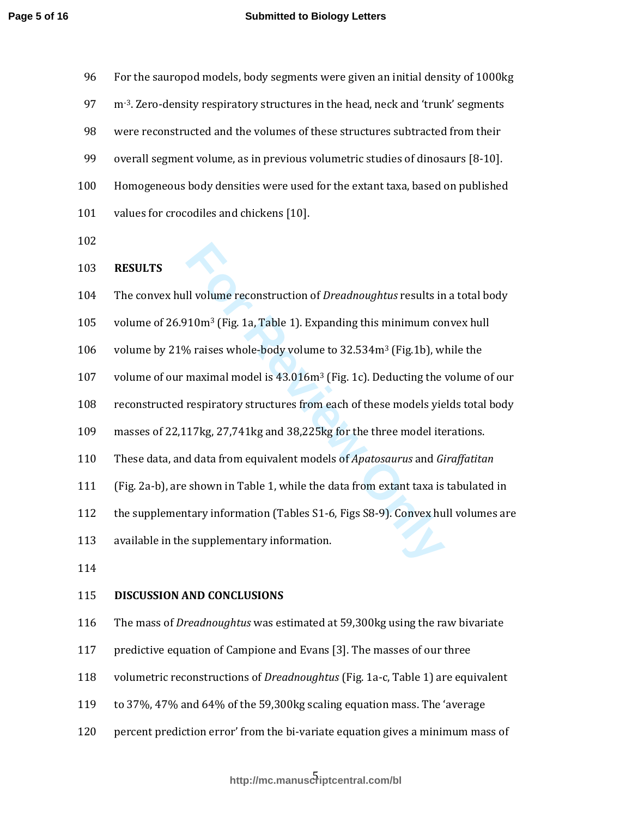| 96  | For the sauropod models, body segments were given an initial density of 1000kg             |
|-----|--------------------------------------------------------------------------------------------|
| 97  | m-3. Zero-density respiratory structures in the head, neck and 'trunk' segments            |
| 98  | were reconstructed and the volumes of these structures subtracted from their               |
| 99  | overall segment volume, as in previous volumetric studies of dinosaurs [8-10].             |
| 100 | Homogeneous body densities were used for the extant taxa, based on published               |
| 101 | values for crocodiles and chickens [10].                                                   |
| 102 |                                                                                            |
| 103 | <b>RESULTS</b>                                                                             |
| 104 | The convex hull volume reconstruction of <i>Dreadnoughtus</i> results in a total body      |
| 105 | volume of 26.910m <sup>3</sup> (Fig. 1a, Table 1). Expanding this minimum convex hull      |
| 106 | volume by 21% raises whole-body volume to 32.534m <sup>3</sup> (Fig.1b), while the         |
| 107 | volume of our maximal model is 43.016m <sup>3</sup> (Fig. 1c). Deducting the volume of our |
| 108 | reconstructed respiratory structures from each of these models yields total body           |
| 109 | masses of 22,117kg, 27,741kg and 38,225kg for the three model iterations.                  |
| 110 | These data, and data from equivalent models of Apatosaurus and Giraffatitan                |
| 111 | (Fig. 2a-b), are shown in Table 1, while the data from extant taxa is tabulated in         |
| 112 | the supplementary information (Tables S1-6, Figs S8-9). Convex hull volumes are            |
| 113 | available in the supplementary information.                                                |
| 114 |                                                                                            |
| 115 | <b>DISCUSSION AND CONCLUSIONS</b>                                                          |
| 116 | The mass of Dreadnoughtus was estimated at 59,300kg using the raw bivariate                |
| 117 | predictive equation of Campione and Evans [3]. The masses of our three                     |
| 118 | volumetric reconstructions of Dreadnoughtus (Fig. 1a-c, Table 1) are equivalent            |

- 119 to 37%, 47% and 64% of the 59,300kg scaling equation mass. The 'average
- 120 percent prediction error' from the bi-variate equation gives a minimum mass of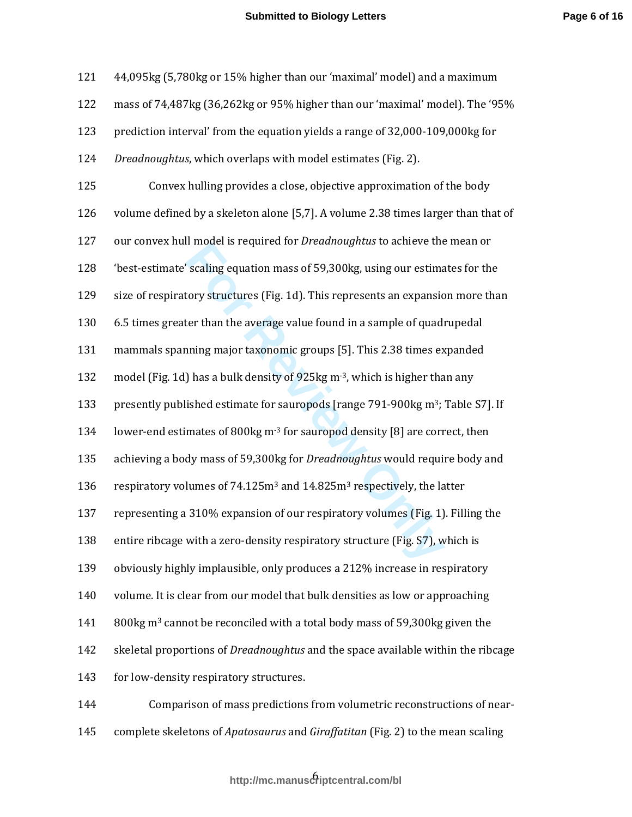| 121 | 44,095kg (5,780kg or 15% higher than our 'maximal' model) and a maximum                       |
|-----|-----------------------------------------------------------------------------------------------|
| 122 | mass of 74,487kg (36,262kg or 95% higher than our 'maximal' model). The '95%                  |
| 123 | prediction interval' from the equation yields a range of 32,000-109,000kg for                 |
| 124 | Dreadnoughtus, which overlaps with model estimates (Fig. 2).                                  |
| 125 | Convex hulling provides a close, objective approximation of the body                          |
| 126 | volume defined by a skeleton alone [5,7]. A volume 2.38 times larger than that of             |
| 127 | our convex hull model is required for <i>Dreadnoughtus</i> to achieve the mean or             |
| 128 | 'best-estimate' scaling equation mass of 59,300kg, using our estimates for the                |
| 129 | size of respiratory structures (Fig. 1d). This represents an expansion more than              |
| 130 | 6.5 times greater than the average value found in a sample of quadrupedal                     |
| 131 | mammals spanning major taxonomic groups [5]. This 2.38 times expanded                         |
| 132 | model (Fig. 1d) has a bulk density of 925kg m <sup>-3</sup> , which is higher than any        |
| 133 | presently published estimate for sauropods [range 791-900kg m <sup>3</sup> ; Table S7]. If    |
| 134 | lower-end estimates of 800kg m <sup>-3</sup> for sauropod density [8] are correct, then       |
| 135 | achieving a body mass of 59,300kg for Dreadnoughtus would require body and                    |
| 136 | respiratory volumes of 74.125m <sup>3</sup> and 14.825m <sup>3</sup> respectively, the latter |
| 137 | representing a 310% expansion of our respiratory volumes (Fig. 1). Filling the                |
| 138 | entire ribcage with a zero-density respiratory structure (Fig. S7), which is                  |
| 139 | obviously highly implausible, only produces a 212% increase in respiratory                    |
| 140 | volume. It is clear from our model that bulk densities as low or approaching                  |
| 141 | 800kg m <sup>3</sup> cannot be reconciled with a total body mass of 59,300kg given the        |
| 142 | skeletal proportions of <i>Dreadnoughtus</i> and the space available within the ribcage       |
| 143 | for low-density respiratory structures.                                                       |
| 144 | Comparison of mass predictions from volumetric reconstructions of near-                       |

145 complete skeletons of *Apatosaurus* and *Giraffatitan* (Fig. 2) to the mean scaling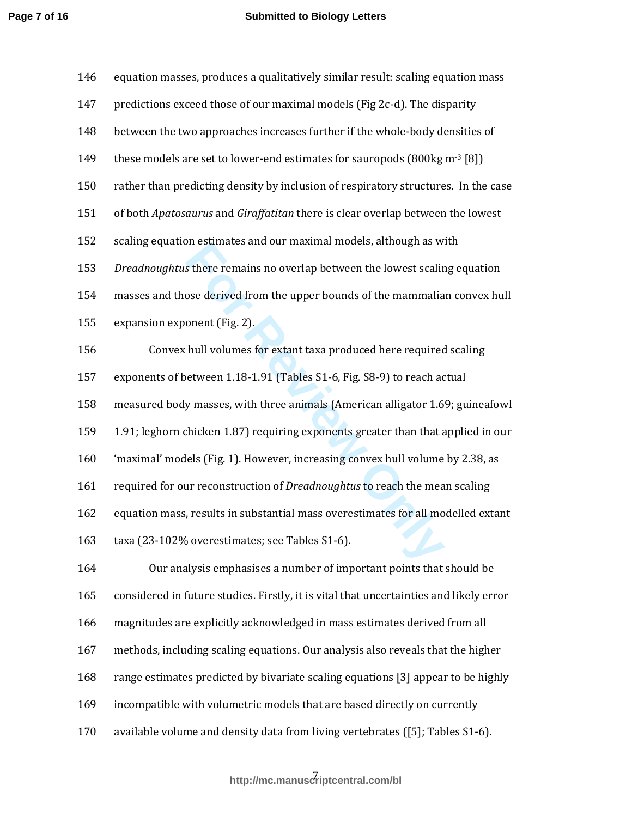| 146 | equation masses, produces a qualitatively similar result: scaling equation mass        |
|-----|----------------------------------------------------------------------------------------|
| 147 | predictions exceed those of our maximal models (Fig 2c-d). The disparity               |
| 148 | between the two approaches increases further if the whole-body densities of            |
| 149 | these models are set to lower-end estimates for sauropods (800kg m <sup>-3</sup> [8])  |
| 150 | rather than predicting density by inclusion of respiratory structures. In the case     |
| 151 | of both Apatosaurus and Giraffatitan there is clear overlap between the lowest         |
| 152 | scaling equation estimates and our maximal models, although as with                    |
| 153 | Dreadnoughtus there remains no overlap between the lowest scaling equation             |
| 154 | masses and those derived from the upper bounds of the mammalian convex hull            |
| 155 | expansion exponent (Fig. 2).                                                           |
| 156 | Convex hull volumes for extant taxa produced here required scaling                     |
| 157 | exponents of between 1.18-1.91 (Tables S1-6, Fig. S8-9) to reach actual                |
| 158 | measured body masses, with three animals (American alligator 1.69; guineafowl          |
| 159 | 1.91; leghorn chicken 1.87) requiring exponents greater than that applied in our       |
| 160 | 'maximal' models (Fig. 1). However, increasing convex hull volume by 2.38, as          |
| 161 | required for our reconstruction of Dreadnoughtus to reach the mean scaling             |
| 162 | equation mass, results in substantial mass overestimates for all modelled extant       |
| 163 | taxa (23-102% overestimates; see Tables S1-6).                                         |
| 164 | Our analysis emphasises a number of important points that should be                    |
| 165 | considered in future studies. Firstly, it is vital that uncertainties and likely error |
| 166 | magnitudes are explicitly acknowledged in mass estimates derived from all              |
| 167 | methods, including scaling equations. Our analysis also reveals that the higher        |
| 168 | range estimates predicted by bivariate scaling equations [3] appear to be highly       |
| 169 | incompatible with volumetric models that are based directly on currently               |
| 170 | available volume and density data from living vertebrates ([5]; Tables S1-6).          |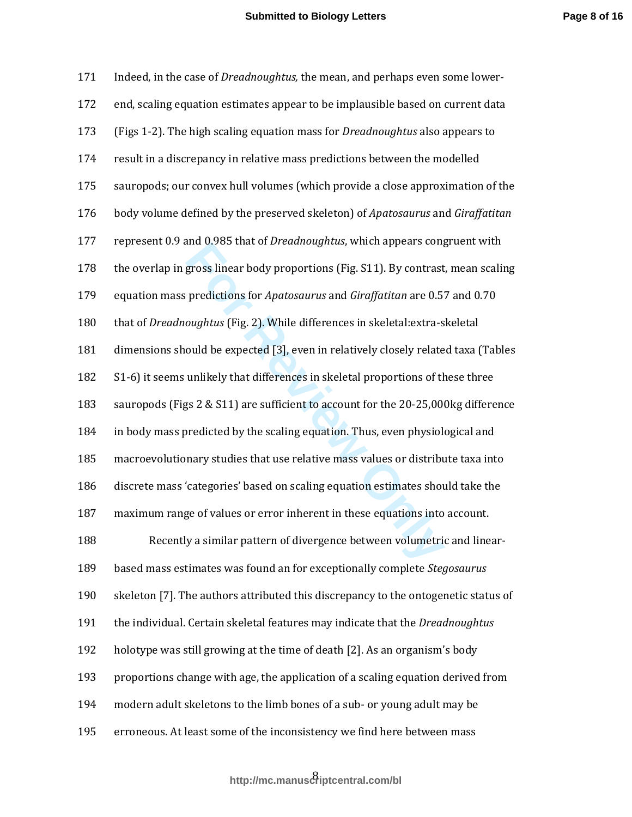| 171 | Indeed, in the case of <i>Dreadnoughtus</i> , the mean, and perhaps even some lower- |
|-----|--------------------------------------------------------------------------------------|
| 172 | end, scaling equation estimates appear to be implausible based on current data       |
| 173 | (Figs 1-2). The high scaling equation mass for <i>Dreadnoughtus</i> also appears to  |
| 174 | result in a discrepancy in relative mass predictions between the modelled            |
| 175 | sauropods; our convex hull volumes (which provide a close approximation of the       |
| 176 | body volume defined by the preserved skeleton) of Apatosaurus and Giraffatitan       |
| 177 | represent 0.9 and 0.985 that of <i>Dreadnoughtus</i> , which appears congruent with  |
| 178 | the overlap in gross linear body proportions (Fig. S11). By contrast, mean scaling   |
| 179 | equation mass predictions for Apatosaurus and Giraffatitan are 0.57 and 0.70         |
| 180 | that of Dreadnoughtus (Fig. 2). While differences in skeletal: extra-skeletal        |
| 181 | dimensions should be expected [3], even in relatively closely related taxa (Tables   |
| 182 | S1-6) it seems unlikely that differences in skeletal proportions of these three      |
| 183 | sauropods (Figs 2 & S11) are sufficient to account for the 20-25,000kg difference    |
| 184 | in body mass predicted by the scaling equation. Thus, even physiological and         |
| 185 | macroevolutionary studies that use relative mass values or distribute taxa into      |
| 186 | discrete mass 'categories' based on scaling equation estimates should take the       |
| 187 | maximum range of values or error inherent in these equations into account.           |
| 188 | Recently a similar pattern of divergence between volumetric and linear-              |
| 189 | based mass estimates was found an for exceptionally complete Stegosaurus             |
| 190 | skeleton [7]. The authors attributed this discrepancy to the ontogenetic status of   |
| 191 | the individual. Certain skeletal features may indicate that the <i>Dreadnoughtus</i> |
| 192 | holotype was still growing at the time of death [2]. As an organism's body           |
| 193 | proportions change with age, the application of a scaling equation derived from      |
| 194 | modern adult skeletons to the limb bones of a sub- or young adult may be             |
| 195 | erroneous. At least some of the inconsistency we find here between mass              |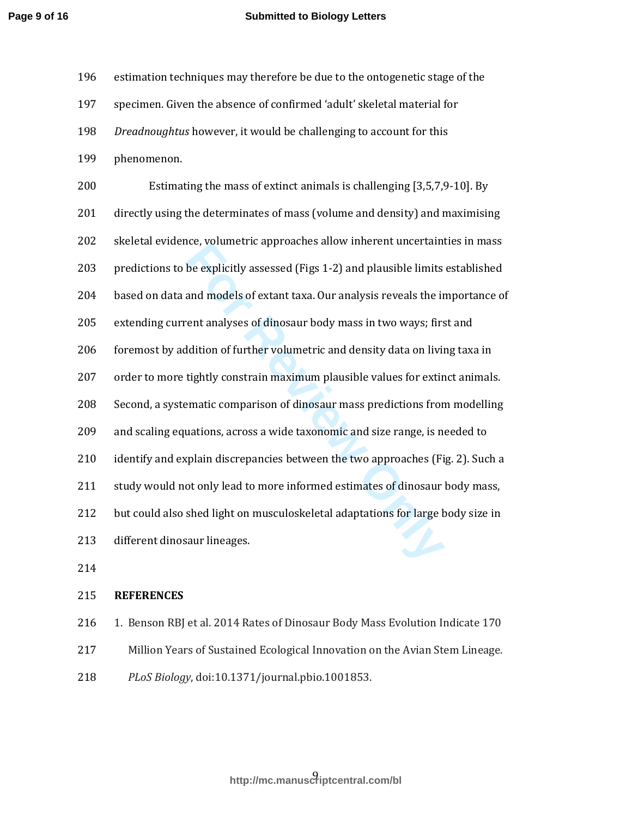#### **Submitted to Biology Letters**

| 196 | estimation techniques may therefore be due to the ontogenetic stage of the        |
|-----|-----------------------------------------------------------------------------------|
| 197 | specimen. Given the absence of confirmed 'adult' skeletal material for            |
| 198 | Dreadnoughtus however, it would be challenging to account for this                |
| 199 | phenomenon.                                                                       |
| 200 | Estimating the mass of extinct animals is challenging [3,5,7,9-10]. By            |
| 201 | directly using the determinates of mass (volume and density) and maximising       |
| 202 | skeletal evidence, volumetric approaches allow inherent uncertainties in mass     |
| 203 | predictions to be explicitly assessed (Figs 1-2) and plausible limits established |
| 204 | based on data and models of extant taxa. Our analysis reveals the importance of   |
| 205 | extending current analyses of dinosaur body mass in two ways; first and           |
| 206 | foremost by addition of further volumetric and density data on living taxa in     |
| 207 | order to more tightly constrain maximum plausible values for extinct animals.     |
| 208 | Second, a systematic comparison of dinosaur mass predictions from modelling       |
| 209 | and scaling equations, across a wide taxonomic and size range, is needed to       |
| 210 | identify and explain discrepancies between the two approaches (Fig. 2). Such a    |
| 211 | study would not only lead to more informed estimates of dinosaur body mass,       |
| 212 | but could also shed light on musculoskeletal adaptations for large body size in   |
| 213 | different dinosaur lineages.                                                      |
| 214 |                                                                                   |

### 215 **REFERENCES**

- 216 1. Benson RBJ et al. 2014 Rates of Dinosaur Body Mass Evolution Indicate 170 217 Million Years of Sustained Ecological Innovation on the Avian Stem Lineage.
- 218 *PLoS Biology*, doi:10.1371/journal.pbio.1001853.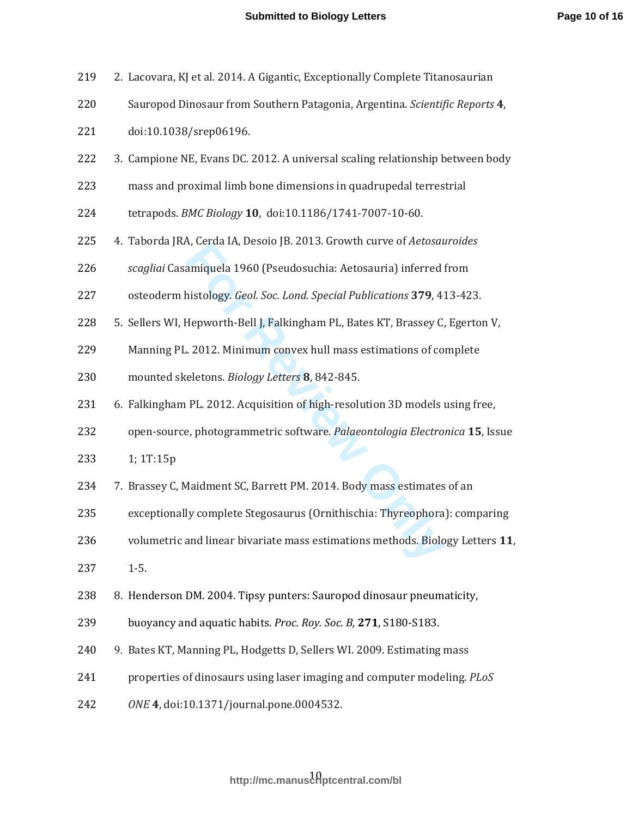| 219 | 2. Lacovara, KJ et al. 2014. A Gigantic, Exceptionally Complete Titanosaurian  |
|-----|--------------------------------------------------------------------------------|
| 220 | Sauropod Dinosaur from Southern Patagonia, Argentina. Scientific Reports 4,    |
| 221 | doi:10.1038/srep06196.                                                         |
| 222 | 3. Campione NE, Evans DC. 2012. A universal scaling relationship between body  |
| 223 | mass and proximal limb bone dimensions in quadrupedal terrestrial              |
| 224 | tetrapods. BMC Biology 10, doi:10.1186/1741-7007-10-60.                        |
| 225 | 4. Taborda JRA, Cerda IA, Desoio JB. 2013. Growth curve of Aetosauroides       |
| 226 | scagliai Casamiquela 1960 (Pseudosuchia: Aetosauria) inferred from             |
| 227 | osteoderm histology. Geol. Soc. Lond. Special Publications 379, 413-423.       |
| 228 | 5. Sellers WI, Hepworth-Bell J, Falkingham PL, Bates KT, Brassey C, Egerton V, |
| 229 | Manning PL. 2012. Minimum convex hull mass estimations of complete             |
| 230 | mounted skeletons. Biology Letters 8, 842-845.                                 |
| 231 | 6. Falkingham PL. 2012. Acquisition of high-resolution 3D models using free,   |
| 232 | open-source, photogrammetric software. Palaeontologia Electronica 15, Issue    |
| 233 | 1; 1T:15p                                                                      |
| 234 | 7. Brassey C, Maidment SC, Barrett PM. 2014. Body mass estimates of an         |
| 235 | exceptionally complete Stegosaurus (Ornithischia: Thyreophora): comparing      |
| 236 | volumetric and linear bivariate mass estimations methods. Biology Letters 11,  |
| 237 | $1 - 5.$                                                                       |
| 238 | 8. Henderson DM. 2004. Tipsy punters: Sauropod dinosaur pneumaticity,          |
| 239 | buoyancy and aquatic habits. Proc. Roy. Soc. B, 271, S180-S183.                |
| 240 | 9. Bates KT, Manning PL, Hodgetts D, Sellers WI. 2009. Estimating mass         |
| 241 | properties of dinosaurs using laser imaging and computer modeling. PLoS        |
| 242 | ONE 4, doi:10.1371/journal.pone.0004532.                                       |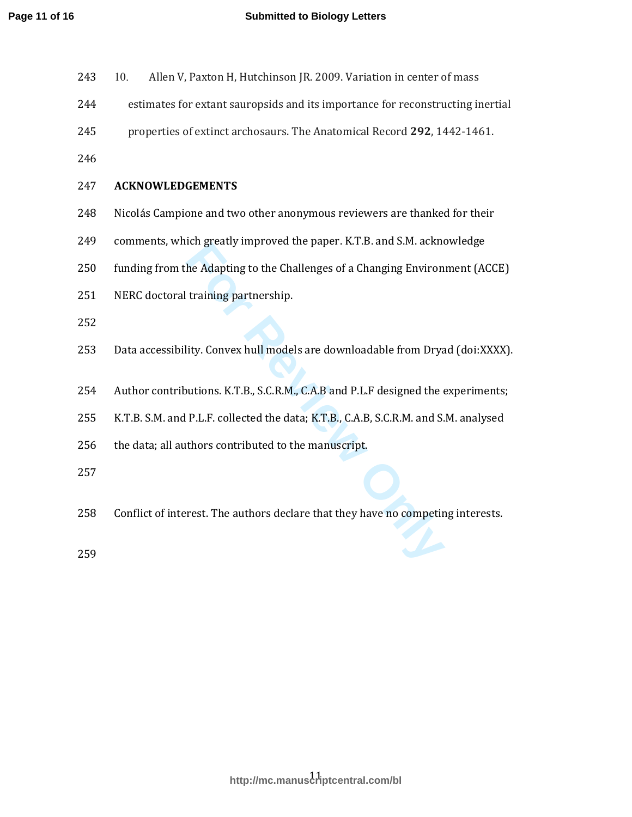| 243 | Allen V, Paxton H, Hutchinson JR. 2009. Variation in center of mass<br>10.           |
|-----|--------------------------------------------------------------------------------------|
| 244 | estimates for extant sauropsids and its importance for reconstructing inertial       |
| 245 | properties of extinct archosaurs. The Anatomical Record 292, 1442-1461.              |
| 246 |                                                                                      |
| 247 | <b>ACKNOWLEDGEMENTS</b>                                                              |
| 248 | Nicolás Campione and two other anonymous reviewers are thanked for their             |
| 249 | comments, which greatly improved the paper. K.T.B. and S.M. acknowledge              |
| 250 | funding from the Adapting to the Challenges of a Changing Environment (ACCE)         |
| 251 | NERC doctoral training partnership.                                                  |
| 252 |                                                                                      |
| 253 | Data accessibility. Convex hull models are downloadable from Dryad (doi:XXXX).       |
|     |                                                                                      |
| 254 | Author contributions. K.T.B., S.C.R.M., C.A.B and P.L.F designed the experiments;    |
| 255 | K.T.B. S.M. and P.L.F. collected the data; K.T.B., C.A.B, S.C.R.M. and S.M. analysed |
| 256 | the data; all authors contributed to the manuscript.                                 |
| 257 |                                                                                      |
| 258 | Conflict of interest. The authors declare that they have no competing interests.     |
| 259 |                                                                                      |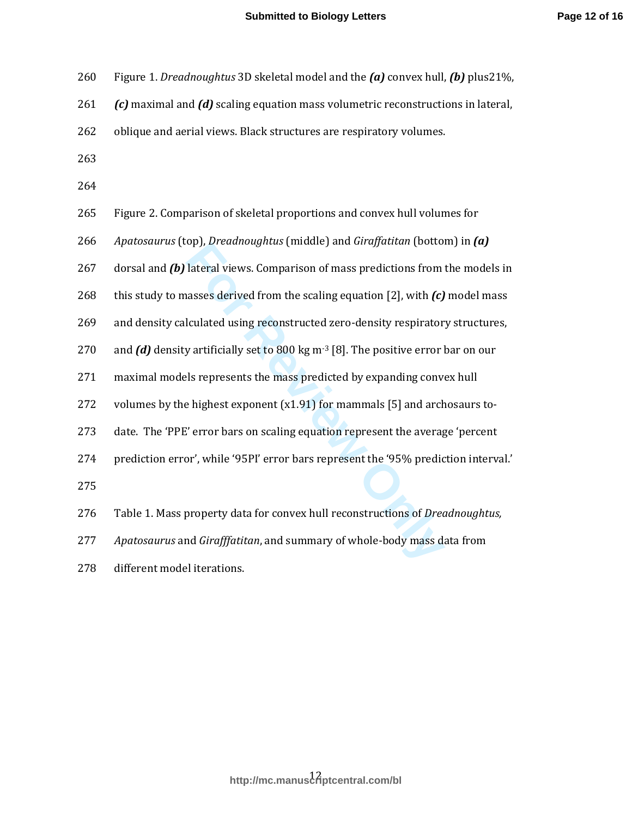260 Figure 1. *Dreadnoughtus* 3D skeletal model and the *(a)* convex hull, *(b)* plus21%,

261 *(c)* maximal and *(d)* scaling equation mass volumetric reconstructions in lateral,

- 262 oblique and aerial views. Black structures are respiratory volumes.
- 263
- 264

| 265 | Figure 2. Comparison of skeletal proportions and convex hull volumes for                        |
|-----|-------------------------------------------------------------------------------------------------|
| 266 | Apatosaurus (top), Dreadnoughtus (middle) and Giraffatitan (bottom) in (a)                      |
| 267 | dorsal and $(b)$ lateral views. Comparison of mass predictions from the models in               |
| 268 | this study to masses derived from the scaling equation [2], with $(c)$ model mass               |
| 269 | and density calculated using reconstructed zero-density respiratory structures,                 |
| 270 | and $(d)$ density artificially set to 800 kg m <sup>-3</sup> [8]. The positive error bar on our |
| 271 | maximal models represents the mass predicted by expanding convex hull                           |
| 272 | volumes by the highest exponent $(x1.91)$ for mammals [5] and archosaurs to-                    |
| 273 | date. The 'PPE' error bars on scaling equation represent the average 'percent                   |
| 274 | prediction error', while '95PI' error bars represent the '95% prediction interval.'             |
| 275 |                                                                                                 |
| 276 | Table 1. Mass property data for convex hull reconstructions of <i>Dreadnoughtus</i> ,           |
| 277 | Apatosaurus and Girafffatitan, and summary of whole-body mass data from                         |
| 278 | different model iterations                                                                      |

278 different model iterations.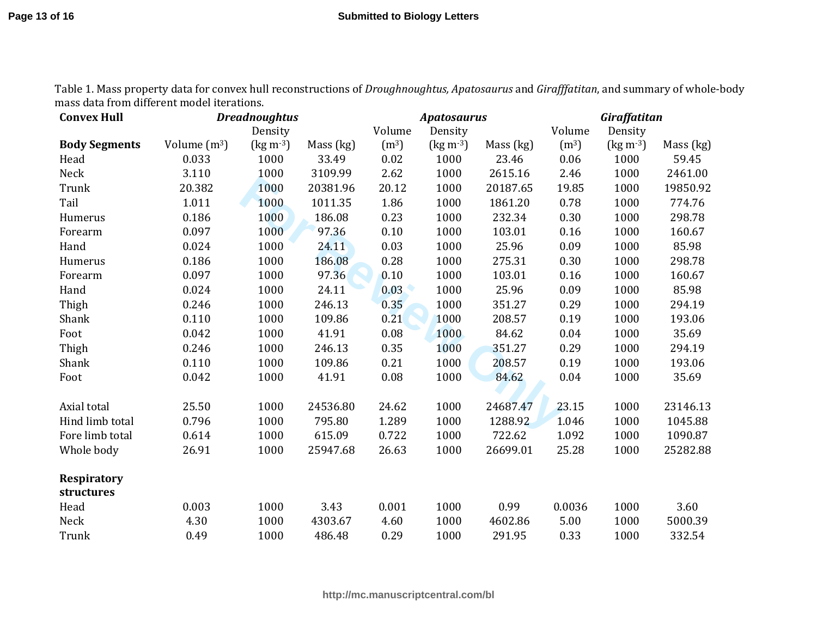| <b>Convex Hull</b>               | <b>Dreadnoughtus</b> |                             |           | <b>Apatosaurus</b> |                    |           | Giraffatitan      |                                    |           |
|----------------------------------|----------------------|-----------------------------|-----------|--------------------|--------------------|-----------|-------------------|------------------------------------|-----------|
|                                  |                      | Density                     |           | Volume             | Density            |           | Volume            | Density                            |           |
| <b>Body Segments</b>             | Volume $(m^3)$       | $\text{(kg m}^{-3}\text{)}$ | Mass (kg) | (m <sup>3</sup> )  | $\rm (kg\,m^{-3})$ | Mass (kg) | (m <sup>3</sup> ) | $\left(\text{kg m} \cdot 3\right)$ | Mass (kg) |
| Head                             | 0.033                | 1000                        | 33.49     | 0.02               | 1000               | 23.46     | 0.06              | 1000                               | 59.45     |
| Neck                             | 3.110                | 1000                        | 3109.99   | 2.62               | 1000               | 2615.16   | 2.46              | 1000                               | 2461.00   |
| Trunk                            | 20.382               | 1000                        | 20381.96  | 20.12              | 1000               | 20187.65  | 19.85             | 1000                               | 19850.92  |
| Tail                             | 1.011                | 1000                        | 1011.35   | 1.86               | 1000               | 1861.20   | 0.78              | 1000                               | 774.76    |
| Humerus                          | 0.186                | 1000                        | 186.08    | 0.23               | 1000               | 232.34    | 0.30              | 1000                               | 298.78    |
| Forearm                          | 0.097                | 1000                        | 97.36     | 0.10               | 1000               | 103.01    | 0.16              | 1000                               | 160.67    |
| Hand                             | 0.024                | 1000                        | 24.11     | 0.03               | 1000               | 25.96     | 0.09              | 1000                               | 85.98     |
| Humerus                          | 0.186                | 1000                        | 186.08    | 0.28               | 1000               | 275.31    | 0.30              | 1000                               | 298.78    |
| Forearm                          | 0.097                | 1000                        | 97.36     | 0.10               | 1000               | 103.01    | 0.16              | 1000                               | 160.67    |
| Hand                             | 0.024                | 1000                        | 24.11     | 0.03               | 1000               | 25.96     | 0.09              | 1000                               | 85.98     |
| Thigh                            | 0.246                | 1000                        | 246.13    | 0.35               | 1000               | 351.27    | 0.29              | 1000                               | 294.19    |
| Shank                            | 0.110                | 1000                        | 109.86    | 0.21               | 1000               | 208.57    | 0.19              | 1000                               | 193.06    |
| Foot                             | 0.042                | 1000                        | 41.91     | 0.08               | 1000               | 84.62     | 0.04              | 1000                               | 35.69     |
| Thigh                            | 0.246                | 1000                        | 246.13    | 0.35               | 1000               | 351.27    | 0.29              | 1000                               | 294.19    |
| Shank                            | 0.110                | 1000                        | 109.86    | 0.21               | 1000               | 208.57    | 0.19              | 1000                               | 193.06    |
| Foot                             | 0.042                | 1000                        | 41.91     | 0.08               | 1000               | 84.62     | 0.04              | 1000                               | 35.69     |
| Axial total                      | 25.50                | 1000                        | 24536.80  | 24.62              | 1000               | 24687.47  | 23.15             | 1000                               | 23146.13  |
| Hind limb total                  | 0.796                | 1000                        | 795.80    | 1.289              | 1000               | 1288.92   | 1.046             | 1000                               | 1045.88   |
| Fore limb total                  | 0.614                | 1000                        | 615.09    | 0.722              | 1000               | 722.62    | 1.092             | 1000                               | 1090.87   |
| Whole body                       | 26.91                | 1000                        | 25947.68  | 26.63              | 1000               | 26699.01  | 25.28             | 1000                               | 25282.88  |
| <b>Respiratory</b><br>structures |                      |                             |           |                    |                    |           |                   |                                    |           |
| Head                             | 0.003                | 1000                        | 3.43      | 0.001              | 1000               | 0.99      | 0.0036            | 1000                               | 3.60      |
| Neck                             | 4.30                 | 1000                        | 4303.67   | 4.60               | 1000               | 4602.86   | 5.00              | 1000                               | 5000.39   |
| Trunk                            | 0.49                 | 1000                        | 486.48    | 0.29               | 1000               | 291.95    | 0.33              | 1000                               | 332.54    |

Table 1. Mass property data for convex hull reconstructions of *Droughnoughtus, Apatosaurus* and *Girafffatitan*, and summary of whole-body mass data from different model iterations.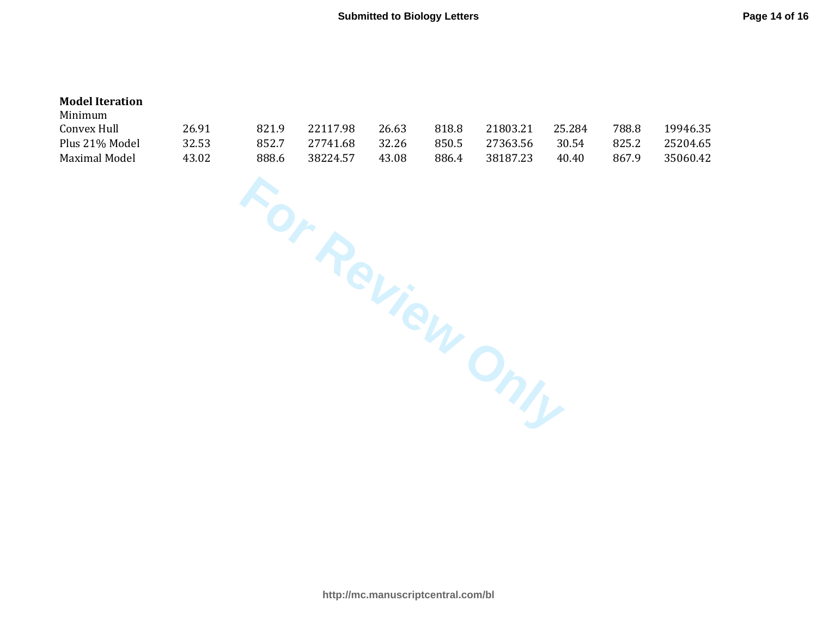### **Model Iteration**

| Minimum        |       |       |          |       |       |          |        |       |          |
|----------------|-------|-------|----------|-------|-------|----------|--------|-------|----------|
| Convex Hull    | 26.91 | 821.9 | 22117.98 | 26.63 | 818.8 | 21803.21 | 25.284 | 788.8 | 19946.35 |
| Plus 21% Model | 32.53 | 852.7 | 27741.68 | 32.26 | 850.5 | 27363.56 | 30.54  | 825.2 | 25204.65 |
| Maximal Model  | 43.02 | 888.6 | 38224.57 | 43.08 | 886.4 | 38187.23 | 40.40  | 867.9 | 35060.42 |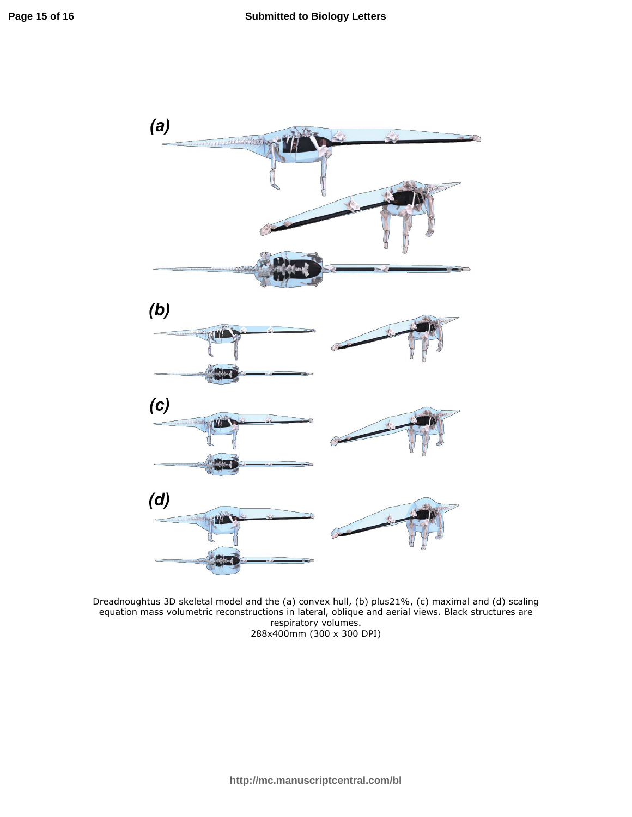

Dreadnoughtus 3D skeletal model and the (a) convex hull, (b) plus21%, (c) maximal and (d) scaling equation mass volumetric reconstructions in lateral, oblique and aerial views. Black structures are respiratory volumes. 288x400mm (300 x 300 DPI)